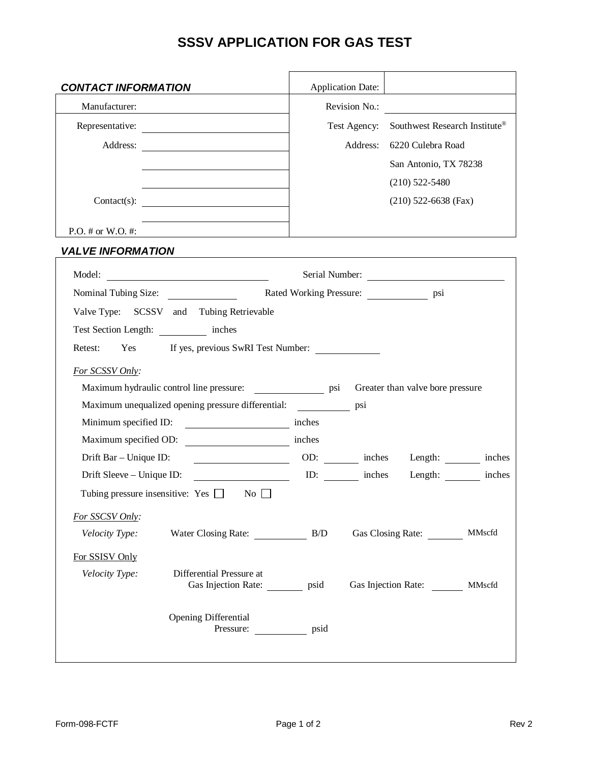## **SSSV APPLICATION FOR GAS TEST**

| <b>CONTACT INFORMATION</b>                                                      | <b>Application Date:</b> |                                      |
|---------------------------------------------------------------------------------|--------------------------|--------------------------------------|
| Manufacturer:                                                                   | Revision No.:            |                                      |
| Representative:                                                                 | Test Agency:             | Southwest Research Institute®        |
|                                                                                 |                          | Address: 6220 Culebra Road           |
|                                                                                 |                          | San Antonio, TX 78238                |
|                                                                                 |                          | $(210)$ 522-5480                     |
| Contact(s): $\qquad \qquad \qquad$                                              |                          | $(210)$ 522-6638 (Fax)               |
| $P.O. \# or W.O. \#$                                                            |                          |                                      |
| <b>VALVE INFORMATION</b>                                                        |                          |                                      |
| Model:<br><u> 1990 - John Stein, Amerikaansk politiker (</u>                    |                          | Serial Number:                       |
|                                                                                 |                          |                                      |
| Valve Type: SCSSV and Tubing Retrievable                                        |                          |                                      |
| Test Section Length: ____________ inches                                        |                          |                                      |
| Yes If yes, previous SwRI Test Number:<br>Retest:                               |                          |                                      |
| For SCSSV Only:                                                                 |                          |                                      |
| Maximum hydraulic control line pressure: ___________________ psi                |                          | Greater than valve bore pressure     |
| Maximum unequalized opening pressure differential:                              | psi                      |                                      |
| Minimum specified ID:                                                           | inches                   |                                      |
| Maximum specified OD: inches                                                    |                          |                                      |
| Drift Bar - Unique ID:                                                          |                          | OD: inches Length: inches            |
| Drift Sleeve – Unique ID:                                                       |                          | ID: ID: inches Length: inches inches |
| Tubing pressure insensitive: Yes $\Box$ No $\Box$                               |                          |                                      |
| For SSCSV Only:                                                                 |                          |                                      |
| Water Closing Rate: B/D<br>Velocity Type:                                       |                          | Gas Closing Rate: MMscfd             |
| For SSISV Only                                                                  |                          |                                      |
| Velocity Type:<br>Differential Pressure at<br>Gas Injection Rate: ________ psid |                          | Gas Injection Rate: ________ MMscfd  |
| <b>Opening Differential</b><br>Pressure: psid                                   |                          |                                      |